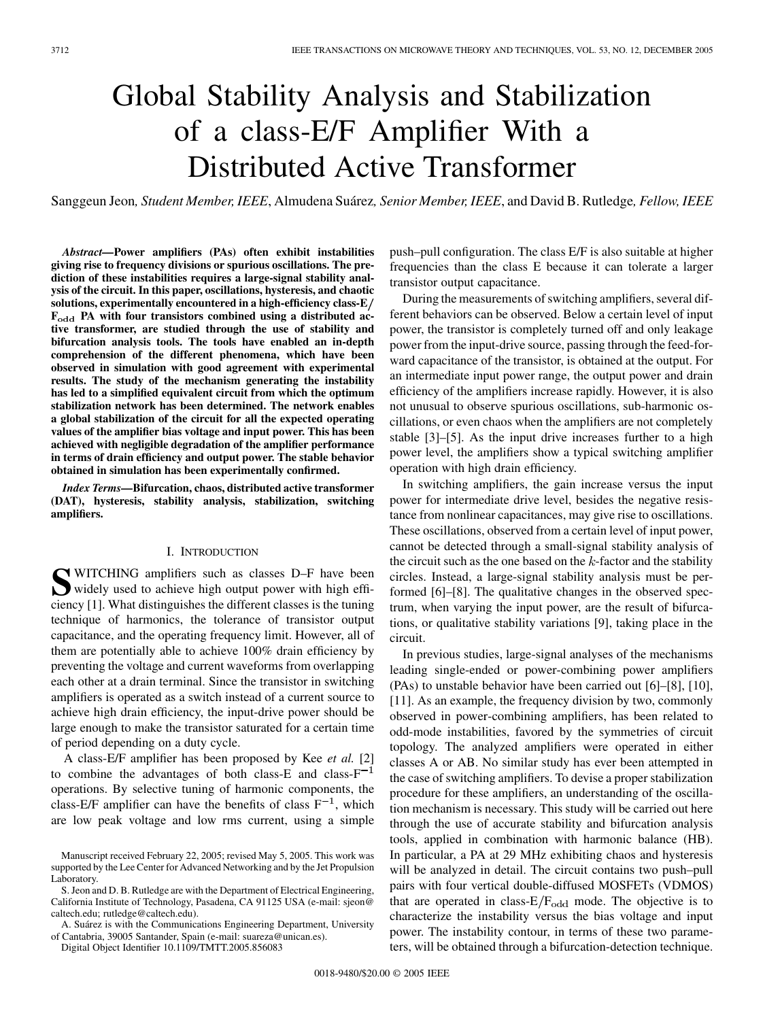# Global Stability Analysis and Stabilization of a class-E/F Amplifier With a Distributed Active Transformer

Sanggeun Jeon*, Student Member, IEEE*, Almudena Suárez*, Senior Member, IEEE*, and David B. Rutledge*, Fellow, IEEE*

*Abstract—***Power amplifiers (PAs) often exhibit instabilities giving rise to frequency divisions or spurious oscillations. The prediction of these instabilities requires a large-signal stability analysis of the circuit. In this paper, oscillations, hysteresis, and chaotic solutions, experimentally encountered in a high-efficiency class-E F**odd **PA with four transistors combined using a distributed active transformer, are studied through the use of stability and bifurcation analysis tools. The tools have enabled an in-depth comprehension of the different phenomena, which have been observed in simulation with good agreement with experimental results. The study of the mechanism generating the instability has led to a simplified equivalent circuit from which the optimum stabilization network has been determined. The network enables a global stabilization of the circuit for all the expected operating values of the amplifier bias voltage and input power. This has been achieved with negligible degradation of the amplifier performance in terms of drain efficiency and output power. The stable behavior obtained in simulation has been experimentally confirmed.**

*Index Terms—***Bifurcation, chaos, distributed active transformer (DAT), hysteresis, stability analysis, stabilization, switching amplifiers.**

# I. INTRODUCTION

**S**WITCHING amplifiers such as classes D–F have been widely used to achieve high output power with high efficiency [[1\]](#page-9-0). What distinguishes the different classes is the tuning technique of harmonics, the tolerance of transistor output capacitance, and the operating frequency limit. However, all of them are potentially able to achieve 100% drain efficiency by preventing the voltage and current waveforms from overlapping each other at a drain terminal. Since the transistor in switching amplifiers is operated as a switch instead of a current source to achieve high drain efficiency, the input-drive power should be large enough to make the transistor saturated for a certain time of period depending on a duty cycle.

A class-E/F amplifier has been proposed by Kee *et al.* [\[2](#page-9-0)] to combine the advantages of both class-E and class- $F^{-1}$ operations. By selective tuning of harmonic components, the class-E/F amplifier can have the benefits of class  $F^{-1}$ , which are low peak voltage and low rms current, using a simple

A. Suárez is with the Communications Engineering Department, University of Cantabria, 39005 Santander, Spain (e-mail: suareza@unican.es).

Digital Object Identifier 10.1109/TMTT.2005.856083

push–pull configuration. The class E/F is also suitable at higher frequencies than the class E because it can tolerate a larger transistor output capacitance.

During the measurements of switching amplifiers, several different behaviors can be observed. Below a certain level of input power, the transistor is completely turned off and only leakage power from the input-drive source, passing through the feed-forward capacitance of the transistor, is obtained at the output. For an intermediate input power range, the output power and drain efficiency of the amplifiers increase rapidly. However, it is also not unusual to observe spurious oscillations, sub-harmonic oscillations, or even chaos when the amplifiers are not completely stable [\[3](#page-9-0)]–[[5\]](#page-9-0). As the input drive increases further to a high power level, the amplifiers show a typical switching amplifier operation with high drain efficiency.

In switching amplifiers, the gain increase versus the input power for intermediate drive level, besides the negative resistance from nonlinear capacitances, may give rise to oscillations. These oscillations, observed from a certain level of input power, cannot be detected through a small-signal stability analysis of the circuit such as the one based on the  $k$ -factor and the stability circles. Instead, a large-signal stability analysis must be performed [[6\]](#page-9-0)–[[8\]](#page-9-0). The qualitative changes in the observed spectrum, when varying the input power, are the result of bifurcations, or qualitative stability variations [[9\]](#page-9-0), taking place in the circuit.

In previous studies, large-signal analyses of the mechanisms leading single-ended or power-combining power amplifiers (PAs) to unstable behavior have been carried out [\[6](#page-9-0)]–[[8\]](#page-9-0), [[10\]](#page-9-0), [[11\]](#page-10-0). As an example, the frequency division by two, commonly observed in power-combining amplifiers, has been related to odd-mode instabilities, favored by the symmetries of circuit topology. The analyzed amplifiers were operated in either classes A or AB. No similar study has ever been attempted in the case of switching amplifiers. To devise a proper stabilization procedure for these amplifiers, an understanding of the oscillation mechanism is necessary. This study will be carried out here through the use of accurate stability and bifurcation analysis tools, applied in combination with harmonic balance (HB). In particular, a PA at 29 MHz exhibiting chaos and hysteresis will be analyzed in detail. The circuit contains two push–pull pairs with four vertical double-diffused MOSFETs (VDMOS) that are operated in class- $E/F_{odd}$  mode. The objective is to characterize the instability versus the bias voltage and input power. The instability contour, in terms of these two parameters, will be obtained through a bifurcation-detection technique.

Manuscript received February 22, 2005; revised May 5, 2005. This work was supported by the Lee Center for Advanced Networking and by the Jet Propulsion Laboratory.

S. Jeon and D. B. Rutledge are with the Department of Electrical Engineering, California Institute of Technology, Pasadena, CA 91125 USA (e-mail: sjeon@ caltech.edu; rutledge@caltech.edu).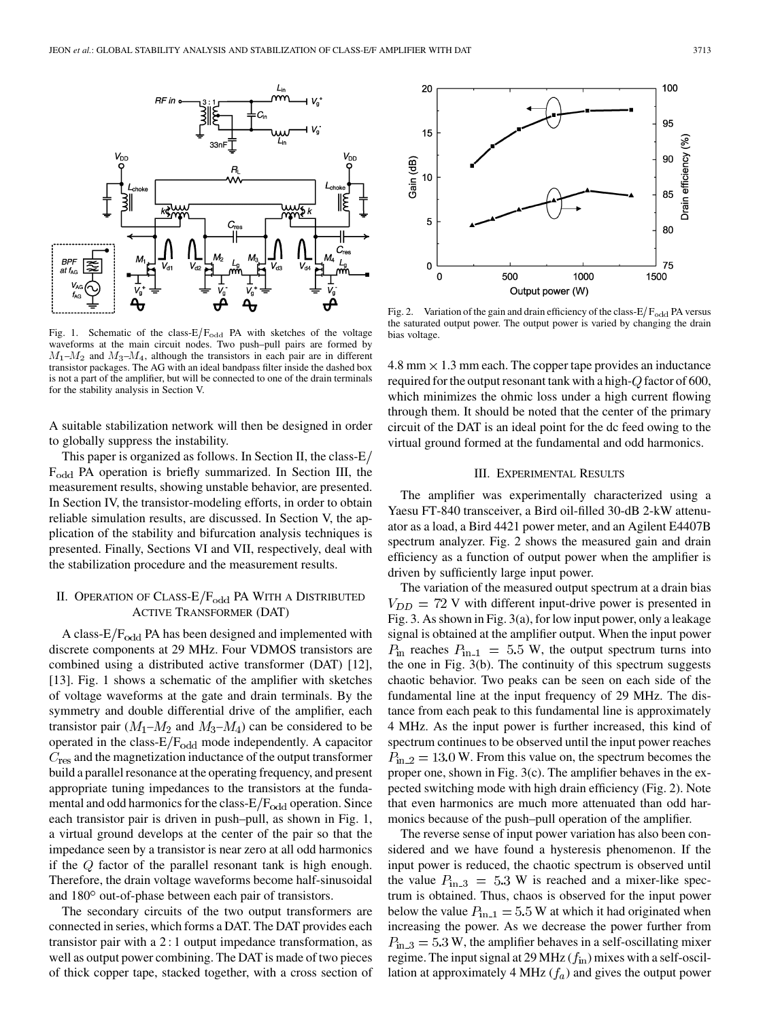

Fig. 1. Schematic of the class- $E/F_{\text{odd}}$  PA with sketches of the voltage waveforms at the main circuit nodes. Two push–pull pairs are formed by  $M_1-M_2$  and  $M_3-M_4$ , although the transistors in each pair are in different transistor packages. The AG with an ideal bandpass filter inside the dashed box is not a part of the amplifier, but will be connected to one of the drain terminals for the stability analysis in Section V.

A suitable stabilization network will then be designed in order to globally suppress the instability.

This paper is organized as follows. In Section II, the class-E  $F_{\text{odd}}$  PA operation is briefly summarized. In Section III, the measurement results, showing unstable behavior, are presented. In Section IV, the transistor-modeling efforts, in order to obtain reliable simulation results, are discussed. In Section V, the application of the stability and bifurcation analysis techniques is presented. Finally, Sections VI and VII, respectively, deal with the stabilization procedure and the measurement results.

# II. OPERATION OF CLASS- $E/F_{odd}$  PA WITH A DISTRIBUTED ACTIVE TRANSFORMER (DAT)

A class- $E/F_{\text{odd}}$  PA has been designed and implemented with discrete components at 29 MHz. Four VDMOS transistors are combined using a distributed active transformer (DAT) [\[12](#page-10-0)], [\[13](#page-10-0)]. Fig. 1 shows a schematic of the amplifier with sketches of voltage waveforms at the gate and drain terminals. By the symmetry and double differential drive of the amplifier, each transistor pair  $(M_1-M_2$  and  $M_3-M_4$ ) can be considered to be operated in the class- $E/F_{\text{odd}}$  mode independently. A capacitor  $C_{\text{res}}$  and the magnetization inductance of the output transformer build a parallel resonance at the operating frequency, and present appropriate tuning impedances to the transistors at the fundamental and odd harmonics for the class- $E/F_{odd}$  operation. Since each transistor pair is driven in push–pull, as shown in Fig. 1, a virtual ground develops at the center of the pair so that the impedance seen by a transistor is near zero at all odd harmonics if the  $Q$  factor of the parallel resonant tank is high enough. Therefore, the drain voltage waveforms become half-sinusoidal and 180° out-of-phase between each pair of transistors.

The secondary circuits of the two output transformers are connected in series, which forms a DAT. The DAT provides each transistor pair with a 2 : 1 output impedance transformation, as well as output power combining. The DAT is made of two pieces of thick copper tape, stacked together, with a cross section of



Fig. 2. Variation of the gain and drain efficiency of the class- $E/F_{\text{odd}}$  PA versus the saturated output power. The output power is varied by changing the drain bias voltage.

 $4.8 \text{ mm} \times 1.3 \text{ mm}$  each. The copper tape provides an inductance required for the output resonant tank with a high- $Q$  factor of 600, which minimizes the ohmic loss under a high current flowing through them. It should be noted that the center of the primary circuit of the DAT is an ideal point for the dc feed owing to the virtual ground formed at the fundamental and odd harmonics.

# III. EXPERIMENTAL RESULTS

The amplifier was experimentally characterized using a Yaesu FT-840 transceiver, a Bird oil-filled 30-dB 2-kW attenuator as a load, a Bird 4421 power meter, and an Agilent E4407B spectrum analyzer. Fig. 2 shows the measured gain and drain efficiency as a function of output power when the amplifier is driven by sufficiently large input power.

The variation of the measured output spectrum at a drain bias  $V_{DD}$  = 72 V with different input-drive power is presented in Fig. 3. As shown in Fig. 3(a), for low input power, only a leakage signal is obtained at the amplifier output. When the input power  $P_{\text{in}}$  reaches  $P_{\text{in}} = 5.5$  W, the output spectrum turns into the one in Fig. 3(b). The continuity of this spectrum suggests chaotic behavior. Two peaks can be seen on each side of the fundamental line at the input frequency of 29 MHz. The distance from each peak to this fundamental line is approximately 4 MHz. As the input power is further increased, this kind of spectrum continues to be observed until the input power reaches  $P_{\text{in},2} = 13.0 \text{ W}$ . From this value on, the spectrum becomes the proper one, shown in Fig. 3(c). The amplifier behaves in the expected switching mode with high drain efficiency (Fig. 2). Note that even harmonics are much more attenuated than odd harmonics because of the push–pull operation of the amplifier.

The reverse sense of input power variation has also been considered and we have found a hysteresis phenomenon. If the input power is reduced, the chaotic spectrum is observed until the value  $P_{\text{in,3}} = 5.3$  W is reached and a mixer-like spectrum is obtained. Thus, chaos is observed for the input power below the value  $P_{\text{in}} = 5.5$  W at which it had originated when increasing the power. As we decrease the power further from  $P_{\text{in},3} = 5.3$  W, the amplifier behaves in a self-oscillating mixer regime. The input signal at 29 MHz  $(f_{in})$  mixes with a self-oscillation at approximately 4 MHz  $(f_a)$  and gives the output power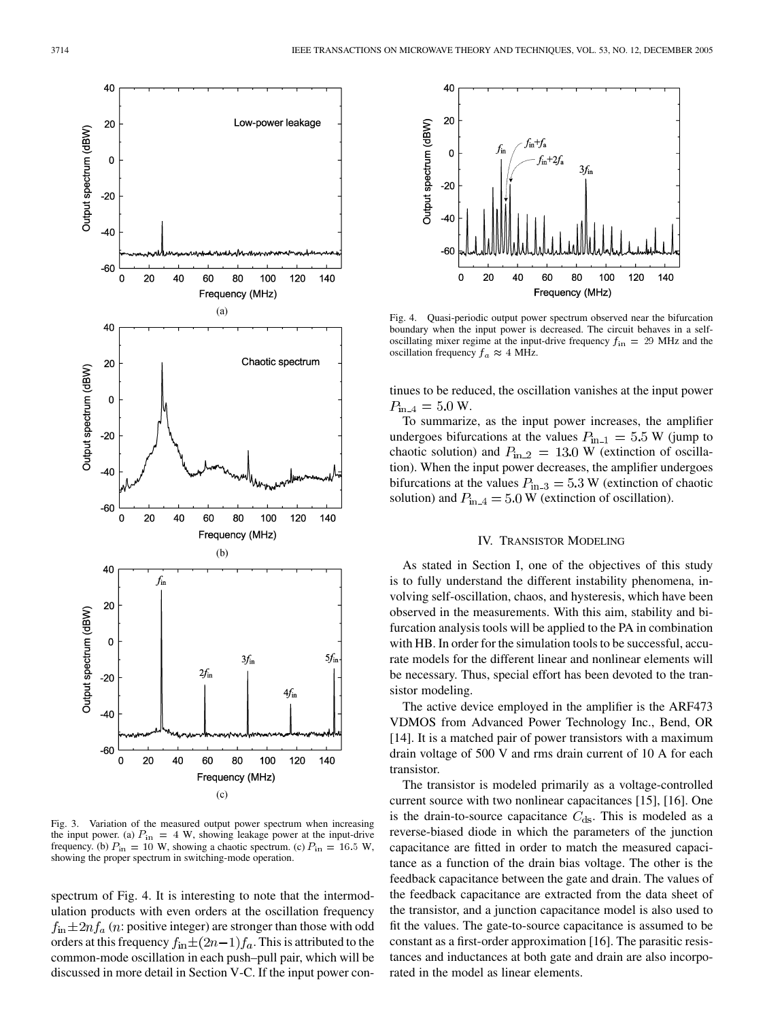

Fig. 3. Variation of the measured output power spectrum when increasing the input power. (a)  $P_{\text{in}} = 4$  W, showing leakage power at the input-drive frequency. (b)  $P_{\text{in}} = 10 \text{ W}$ , showing a chaotic spectrum. (c)  $P_{\text{in}} = 16.5 \text{ W}$ , showing the proper spectrum in switching-mode operation.

spectrum of Fig. 4. It is interesting to note that the intermodulation products with even orders at the oscillation frequency  $f_{\text{in}} \pm 2nf_a$  (*n*: positive integer) are stronger than those with odd orders at this frequency  $f_{\text{in}} \pm (2n-1) f_a$ . This is attributed to the common-mode oscillation in each push–pull pair, which will be discussed in more detail in Section V-C. If the input power con-



Fig. 4. Quasi-periodic output power spectrum observed near the bifurcation boundary when the input power is decreased. The circuit behaves in a selfoscillating mixer regime at the input-drive frequency  $f_{\rm in} = 29$  MHz and the oscillation frequency  $f_a \approx 4$  MHz.

tinues to be reduced, the oscillation vanishes at the input power  $P_{\text{in}_-4} = 5.0 \text{ W}.$ 

To summarize, as the input power increases, the amplifier undergoes bifurcations at the values  $P_{\text{in-1}} = 5.5$  W (jump to chaotic solution) and  $P_{\text{in},2} = 13.0 \text{ W}$  (extinction of oscillation). When the input power decreases, the amplifier undergoes bifurcations at the values  $P_{\text{in,3}} = 5.3 \text{ W}$  (extinction of chaotic solution) and  $P_{\text{in-4}} = 5.0$  W (extinction of oscillation).

# IV. TRANSISTOR MODELING

As stated in Section I, one of the objectives of this study is to fully understand the different instability phenomena, involving self-oscillation, chaos, and hysteresis, which have been observed in the measurements. With this aim, stability and bifurcation analysis tools will be applied to the PA in combination with HB. In order for the simulation tools to be successful, accurate models for the different linear and nonlinear elements will be necessary. Thus, special effort has been devoted to the transistor modeling.

The active device employed in the amplifier is the ARF473 VDMOS from Advanced Power Technology Inc., Bend, OR [[14\]](#page-10-0). It is a matched pair of power transistors with a maximum drain voltage of 500 V and rms drain current of 10 A for each transistor.

The transistor is modeled primarily as a voltage-controlled current source with two nonlinear capacitances [[15\]](#page-10-0), [[16\]](#page-10-0). One is the drain-to-source capacitance  $C_{ds}$ . This is modeled as a reverse-biased diode in which the parameters of the junction capacitance are fitted in order to match the measured capacitance as a function of the drain bias voltage. The other is the feedback capacitance between the gate and drain. The values of the feedback capacitance are extracted from the data sheet of the transistor, and a junction capacitance model is also used to fit the values. The gate-to-source capacitance is assumed to be constant as a first-order approximation [[16\]](#page-10-0). The parasitic resistances and inductances at both gate and drain are also incorporated in the model as linear elements.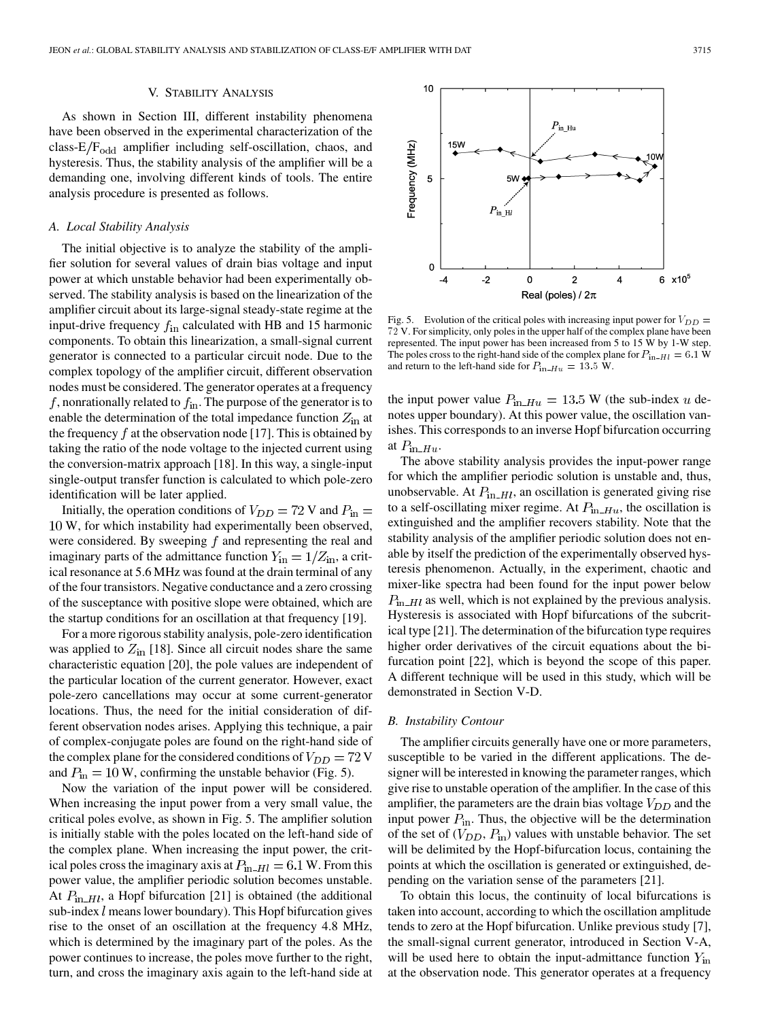# V. STABILITY ANALYSIS

As shown in Section III, different instability phenomena have been observed in the experimental characterization of the class- $E/F_{odd}$  amplifier including self-oscillation, chaos, and hysteresis. Thus, the stability analysis of the amplifier will be a demanding one, involving different kinds of tools. The entire analysis procedure is presented as follows.

#### *A. Local Stability Analysis*

The initial objective is to analyze the stability of the amplifier solution for several values of drain bias voltage and input power at which unstable behavior had been experimentally observed. The stability analysis is based on the linearization of the amplifier circuit about its large-signal steady-state regime at the input-drive frequency  $f_{\text{in}}$  calculated with HB and 15 harmonic components. To obtain this linearization, a small-signal current generator is connected to a particular circuit node. Due to the complex topology of the amplifier circuit, different observation nodes must be considered. The generator operates at a frequency  $f$ , nonrationally related to  $f_{\text{in}}$ . The purpose of the generator is to enable the determination of the total impedance function  $Z_{\text{in}}$  at the frequency  $f$  at the observation node [\[17](#page-10-0)]. This is obtained by taking the ratio of the node voltage to the injected current using the conversion-matrix approach [\[18](#page-10-0)]. In this way, a single-input single-output transfer function is calculated to which pole-zero identification will be later applied.

Initially, the operation conditions of  $V_{DD} = 72$  V and  $P_{in} =$ W, for which instability had experimentally been observed, were considered. By sweeping  $f$  and representing the real and imaginary parts of the admittance function  $Y_{\text{in}} = 1/Z_{\text{in}}$ , a critical resonance at 5.6 MHz was found at the drain terminal of any of the four transistors. Negative conductance and a zero crossing of the susceptance with positive slope were obtained, which are the startup conditions for an oscillation at that frequency [\[19](#page-10-0)].

For a more rigorous stability analysis, pole-zero identification was applied to  $Z_{\text{in}}$  [\[18](#page-10-0)]. Since all circuit nodes share the same characteristic equation [\[20](#page-10-0)], the pole values are independent of the particular location of the current generator. However, exact pole-zero cancellations may occur at some current-generator locations. Thus, the need for the initial consideration of different observation nodes arises. Applying this technique, a pair of complex-conjugate poles are found on the right-hand side of the complex plane for the considered conditions of  $V_{DD} = 72$  V and  $P_{\text{in}} = 10$  W, confirming the unstable behavior (Fig. 5).

Now the variation of the input power will be considered. When increasing the input power from a very small value, the critical poles evolve, as shown in Fig. 5. The amplifier solution is initially stable with the poles located on the left-hand side of the complex plane. When increasing the input power, the critical poles cross the imaginary axis at  $P_{\text{in-}Hl} = 6.1 \text{ W}$ . From this power value, the amplifier periodic solution becomes unstable. At  $P_{\text{in-}Hl}$ , a Hopf bifurcation [\[21](#page-10-0)] is obtained (the additional sub-index  $l$  means lower boundary). This Hopf bifurcation gives rise to the onset of an oscillation at the frequency 4.8 MHz, which is determined by the imaginary part of the poles. As the power continues to increase, the poles move further to the right, turn, and cross the imaginary axis again to the left-hand side at



Fig. 5. Evolution of the critical poles with increasing input power for  $V_{DD}$  = 72 V. For simplicity, only poles in the upper half of the complex plane have been represented. The input power has been increased from 5 to 15 W by 1-W step. The poles cross to the right-hand side of the complex plane for  $P_{\text{in-}Hl} = 6.1 \text{ W}$ and return to the left-hand side for  $P_{\text{in-}Hu} = 13.5 \text{ W}$ .

the input power value  $P_{\text{in} \_H u} = 13.5 \text{ W}$  (the sub-index u denotes upper boundary). At this power value, the oscillation vanishes. This corresponds to an inverse Hopf bifurcation occurring at  $P_{\text{in} H u}$ .

The above stability analysis provides the input-power range for which the amplifier periodic solution is unstable and, thus, unobservable. At  $P_{\text{in-}Hl}$ , an oscillation is generated giving rise to a self-oscillating mixer regime. At  $P_{\text{in-}Hu}$ , the oscillation is extinguished and the amplifier recovers stability. Note that the stability analysis of the amplifier periodic solution does not enable by itself the prediction of the experimentally observed hysteresis phenomenon. Actually, in the experiment, chaotic and mixer-like spectra had been found for the input power below  $P_{\text{in-}Hl}$  as well, which is not explained by the previous analysis. Hysteresis is associated with Hopf bifurcations of the subcritical type [[21\]](#page-10-0). The determination of the bifurcation type requires higher order derivatives of the circuit equations about the bifurcation point [[22\]](#page-10-0), which is beyond the scope of this paper. A different technique will be used in this study, which will be demonstrated in Section V-D.

# *B. Instability Contour*

The amplifier circuits generally have one or more parameters, susceptible to be varied in the different applications. The designer will be interested in knowing the parameter ranges, which give rise to unstable operation of the amplifier. In the case of this amplifier, the parameters are the drain bias voltage  $V_{DD}$  and the input power  $P_{\text{in}}$ . Thus, the objective will be the determination of the set of  $(V_{DD}, P_{\text{in}})$  values with unstable behavior. The set will be delimited by the Hopf-bifurcation locus, containing the points at which the oscillation is generated or extinguished, depending on the variation sense of the parameters [\[21](#page-10-0)].

To obtain this locus, the continuity of local bifurcations is taken into account, according to which the oscillation amplitude tends to zero at the Hopf bifurcation. Unlike previous study [\[7](#page-9-0)], the small-signal current generator, introduced in Section V-A, will be used here to obtain the input-admittance function  $Y_{\text{in}}$ at the observation node. This generator operates at a frequency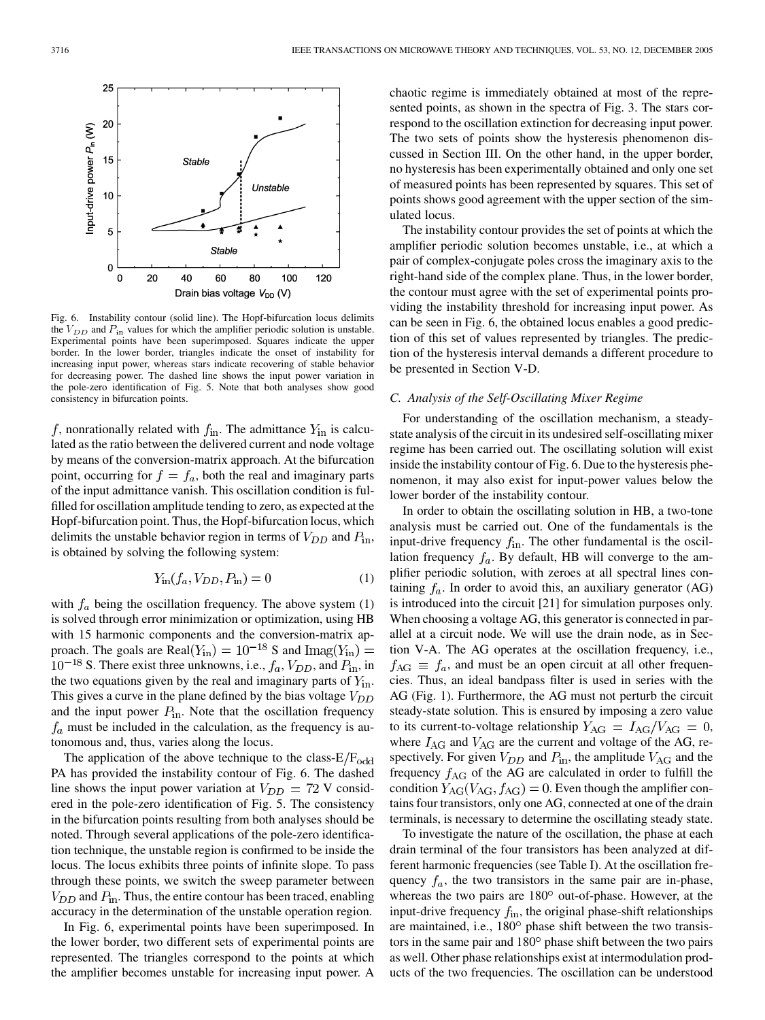

Fig. 6. Instability contour (solid line). The Hopf-bifurcation locus delimits the  $V_{DD}$  and  $P_{\text{in}}$  values for which the amplifier periodic solution is unstable. Experimental points have been superimposed. Squares indicate the upper border. In the lower border, triangles indicate the onset of instability for increasing input power, whereas stars indicate recovering of stable behavior for decreasing power. The dashed line shows the input power variation in the pole-zero identification of Fig. 5. Note that both analyses show good consistency in bifurcation points.

f, nonrationally related with  $f_{\text{in}}$ . The admittance  $Y_{\text{in}}$  is calculated as the ratio between the delivered current and node voltage by means of the conversion-matrix approach. At the bifurcation point, occurring for  $f = f_a$ , both the real and imaginary parts of the input admittance vanish. This oscillation condition is fulfilled for oscillation amplitude tending to zero, as expected at the Hopf-bifurcation point. Thus, the Hopf-bifurcation locus, which delimits the unstable behavior region in terms of  $V_{DD}$  and  $P_{\text{in}}$ , is obtained by solving the following system:

$$
Y_{\rm in}(f_a, V_{DD}, P_{\rm in}) = 0\tag{1}
$$

with  $f_a$  being the oscillation frequency. The above system (1) is solved through error minimization or optimization, using HB with 15 harmonic components and the conversion-matrix approach. The goals are Real $(Y_{\text{in}}) = 10^{-18}$  S and  $\text{Imag}(Y_{\text{in}}) =$  $10^{-18}$  S. There exist three unknowns, i.e.,  $f_a$ ,  $V_{DD}$ , and  $P_{\text{in}}$ , in the two equations given by the real and imaginary parts of  $Y_{\text{in}}$ . This gives a curve in the plane defined by the bias voltage  $V_{DD}$ and the input power  $P_{\text{in}}$ . Note that the oscillation frequency  $f_a$  must be included in the calculation, as the frequency is autonomous and, thus, varies along the locus.

The application of the above technique to the class- $E/F_{odd}$ PA has provided the instability contour of Fig. 6. The dashed line shows the input power variation at  $V_{DD} = 72$  V considered in the pole-zero identification of Fig. 5. The consistency in the bifurcation points resulting from both analyses should be noted. Through several applications of the pole-zero identification technique, the unstable region is confirmed to be inside the locus. The locus exhibits three points of infinite slope. To pass through these points, we switch the sweep parameter between  $V_{DD}$  and  $P_{\text{in}}$ . Thus, the entire contour has been traced, enabling accuracy in the determination of the unstable operation region.

In Fig. 6, experimental points have been superimposed. In the lower border, two different sets of experimental points are represented. The triangles correspond to the points at which the amplifier becomes unstable for increasing input power. A

chaotic regime is immediately obtained at most of the represented points, as shown in the spectra of Fig. 3. The stars correspond to the oscillation extinction for decreasing input power. The two sets of points show the hysteresis phenomenon discussed in Section III. On the other hand, in the upper border, no hysteresis has been experimentally obtained and only one set of measured points has been represented by squares. This set of points shows good agreement with the upper section of the simulated locus.

The instability contour provides the set of points at which the amplifier periodic solution becomes unstable, i.e., at which a pair of complex-conjugate poles cross the imaginary axis to the right-hand side of the complex plane. Thus, in the lower border, the contour must agree with the set of experimental points providing the instability threshold for increasing input power. As can be seen in Fig. 6, the obtained locus enables a good prediction of this set of values represented by triangles. The prediction of the hysteresis interval demands a different procedure to be presented in Section V-D.

# *C. Analysis of the Self-Oscillating Mixer Regime*

For understanding of the oscillation mechanism, a steadystate analysis of the circuit in its undesired self-oscillating mixer regime has been carried out. The oscillating solution will exist inside the instability contour of Fig. 6. Due to the hysteresis phenomenon, it may also exist for input-power values below the lower border of the instability contour.

In order to obtain the oscillating solution in HB, a two-tone analysis must be carried out. One of the fundamentals is the input-drive frequency  $f_{\text{in}}$ . The other fundamental is the oscillation frequency  $f_a$ . By default, HB will converge to the amplifier periodic solution, with zeroes at all spectral lines containing  $f_a$ . In order to avoid this, an auxiliary generator (AG) is introduced into the circuit [\[21](#page-10-0)] for simulation purposes only. When choosing a voltage AG, this generator is connected in parallel at a circuit node. We will use the drain node, as in Section V-A. The AG operates at the oscillation frequency, i.e.,  $f_{\text{AG}} \equiv f_a$ , and must be an open circuit at all other frequencies. Thus, an ideal bandpass filter is used in series with the AG (Fig. 1). Furthermore, the AG must not perturb the circuit steady-state solution. This is ensured by imposing a zero value to its current-to-voltage relationship  $Y_{\text{AG}} = I_{\text{AG}} / V_{\text{AG}} = 0$ , where  $I_{\rm AG}$  and  $V_{\rm AG}$  are the current and voltage of the AG, respectively. For given  $V_{DD}$  and  $P_{\text{in}}$ , the amplitude  $V_{\text{AG}}$  and the frequency  $f_{\rm AG}$  of the AG are calculated in order to fulfill the condition  $Y_{\rm AG}(V_{\rm AG}, f_{\rm AG}) = 0$ . Even though the amplifier contains four transistors, only one AG, connected at one of the drain terminals, is necessary to determine the oscillating steady state.

To investigate the nature of the oscillation, the phase at each drain terminal of the four transistors has been analyzed at different harmonic frequencies (see Table I). At the oscillation frequency  $f_a$ , the two transistors in the same pair are in-phase, whereas the two pairs are  $180^\circ$  out-of-phase. However, at the input-drive frequency  $f_{\text{in}}$ , the original phase-shift relationships are maintained, i.e.,  $180^\circ$  phase shift between the two transistors in the same pair and  $180^\circ$  phase shift between the two pairs as well. Other phase relationships exist at intermodulation products of the two frequencies. The oscillation can be understood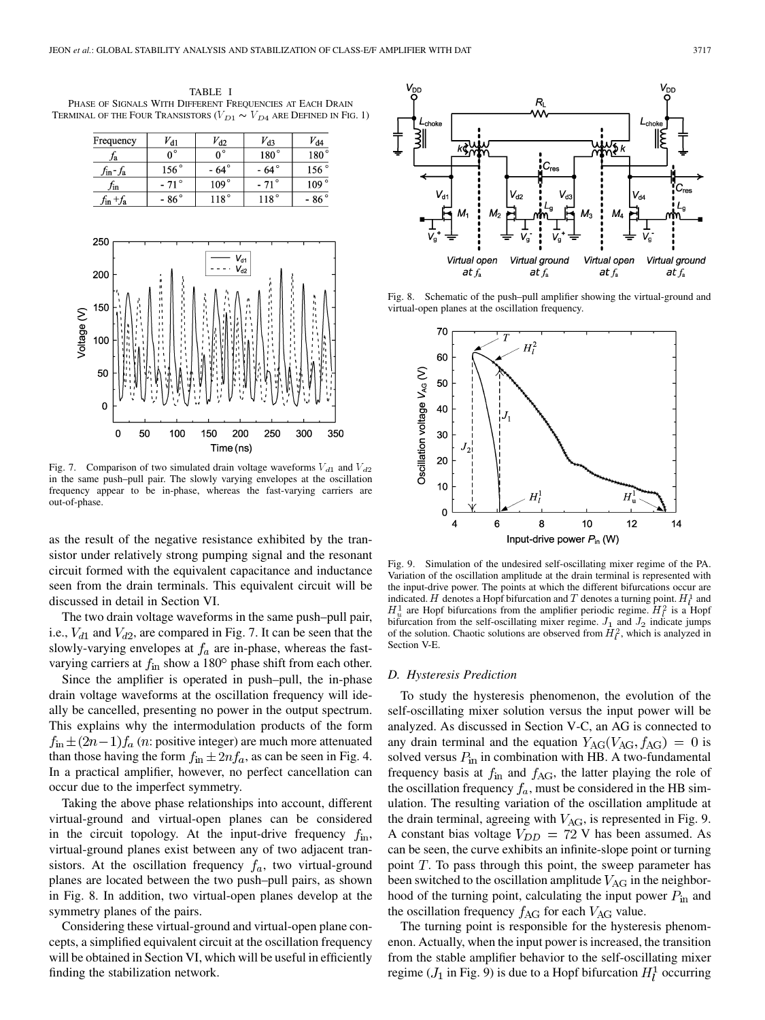TABLE I PHASE OF SIGNALS WITH DIFFERENT FREQUENCIES AT EACH DRAIN TERMINAL OF THE FOUR TRANSISTORS ( $V_{D1} \sim V_{D4}$  are Defined in Fig. 1)



Fig. 7. Comparison of two simulated drain voltage waveforms  $V_{d1}$  and  $V_{d2}$ in the same push–pull pair. The slowly varying envelopes at the oscillation frequency appear to be in-phase, whereas the fast-varying carriers are out-of-phase.

as the result of the negative resistance exhibited by the transistor under relatively strong pumping signal and the resonant circuit formed with the equivalent capacitance and inductance seen from the drain terminals. This equivalent circuit will be discussed in detail in Section VI.

The two drain voltage waveforms in the same push–pull pair, i.e.,  $V_{d1}$  and  $V_{d2}$ , are compared in Fig. 7. It can be seen that the slowly-varying envelopes at  $f_a$  are in-phase, whereas the fastvarying carriers at  $f_{\text{in}}$  show a 180 $^{\circ}$  phase shift from each other.

Since the amplifier is operated in push–pull, the in-phase drain voltage waveforms at the oscillation frequency will ideally be cancelled, presenting no power in the output spectrum. This explains why the intermodulation products of the form  $f_{\text{in}} \pm (2n-1) f_a$  (*n*: positive integer) are much more attenuated than those having the form  $f_{\text{in}} \pm 2nf_a$ , as can be seen in Fig. 4. In a practical amplifier, however, no perfect cancellation can occur due to the imperfect symmetry.

Taking the above phase relationships into account, different virtual-ground and virtual-open planes can be considered in the circuit topology. At the input-drive frequency  $f_{\text{in}}$ , virtual-ground planes exist between any of two adjacent transistors. At the oscillation frequency  $f_a$ , two virtual-ground planes are located between the two push–pull pairs, as shown in Fig. 8. In addition, two virtual-open planes develop at the symmetry planes of the pairs.

Considering these virtual-ground and virtual-open plane concepts, a simplified equivalent circuit at the oscillation frequency will be obtained in Section VI, which will be useful in efficiently finding the stabilization network.



Fig. 8. Schematic of the push–pull amplifier showing the virtual-ground and virtual-open planes at the oscillation frequency.



Fig. 9. Simulation of the undesired self-oscillating mixer regime of the PA. Variation of the oscillation amplitude at the drain terminal is represented with the input-drive power. The points at which the different bifurcations occur are indicated. H denotes a Hopf bifurcation and T denotes a turning point.  $H_1^1$  and  $H_u^1$  are Hopf bifurcations from the amplifier periodic regime.  $H_l^2$  is a Hopf bifurcation from the self-oscillating mixer regime.  $J_1$  and  $J_2$  indicate jumps of the solution. Chaotic solutions are observed from  $H_I^2$ , which is analyzed in Section V-E.

#### *D. Hysteresis Prediction*

To study the hysteresis phenomenon, the evolution of the self-oscillating mixer solution versus the input power will be analyzed. As discussed in Section V-C, an AG is connected to any drain terminal and the equation  $Y_{\text{AG}}(V_{\text{AG}}, f_{\text{AG}}) = 0$  is solved versus  $P_{\text{in}}$  in combination with HB. A two-fundamental frequency basis at  $f_{\text{in}}$  and  $f_{\text{AG}}$ , the latter playing the role of the oscillation frequency  $f_a$ , must be considered in the HB simulation. The resulting variation of the oscillation amplitude at the drain terminal, agreeing with  $V_{\rm AG}$ , is represented in Fig. 9. A constant bias voltage  $V_{DD} = 72$  V has been assumed. As can be seen, the curve exhibits an infinite-slope point or turning point  $T$ . To pass through this point, the sweep parameter has been switched to the oscillation amplitude  $V_{\rm AG}$  in the neighborhood of the turning point, calculating the input power  $P_{\text{in}}$  and the oscillation frequency  $f_{\rm AG}$  for each  $V_{\rm AG}$  value.

The turning point is responsible for the hysteresis phenomenon. Actually, when the input power is increased, the transition from the stable amplifier behavior to the self-oscillating mixer regime ( $J_1$  in Fig. 9) is due to a Hopf bifurcation  $H_l^1$  occurring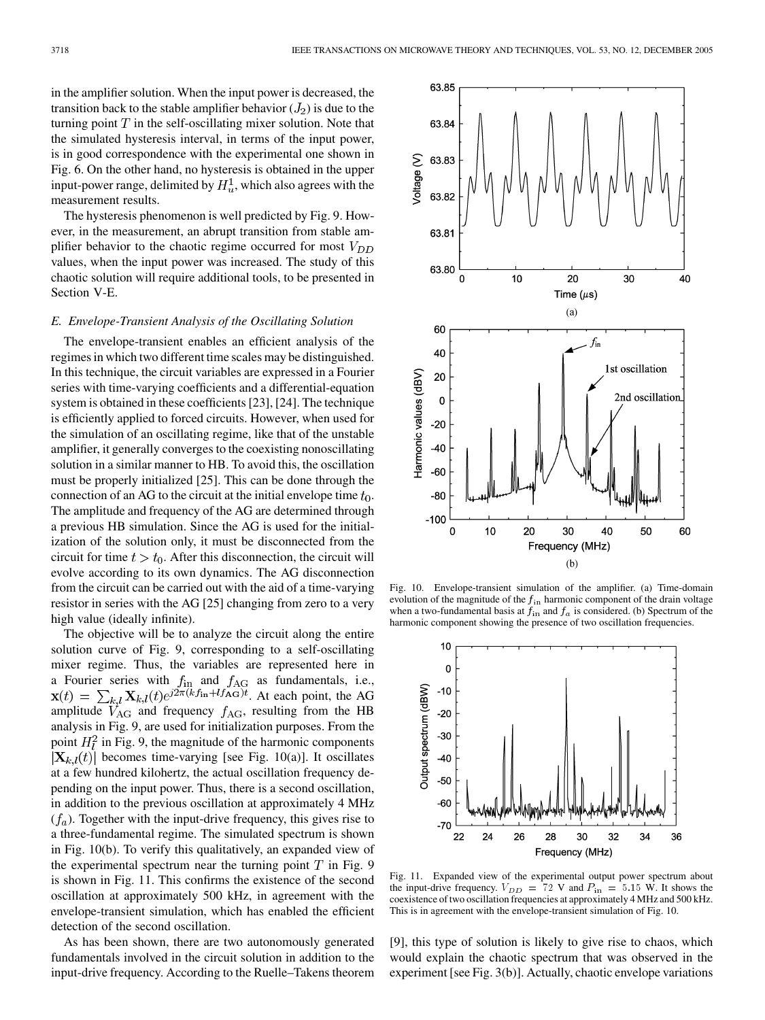in the amplifier solution. When the input power is decreased, the transition back to the stable amplifier behavior  $(J_2)$  is due to the turning point  $T$  in the self-oscillating mixer solution. Note that the simulated hysteresis interval, in terms of the input power, is in good correspondence with the experimental one shown in Fig. 6. On the other hand, no hysteresis is obtained in the upper input-power range, delimited by  $H_u^1$ , which also agrees with the measurement results.

The hysteresis phenomenon is well predicted by Fig. 9. However, in the measurement, an abrupt transition from stable amplifier behavior to the chaotic regime occurred for most  $V_{DD}$ values, when the input power was increased. The study of this chaotic solution will require additional tools, to be presented in Section V-E.

# *E. Envelope-Transient Analysis of the Oscillating Solution*

The envelope-transient enables an efficient analysis of the regimes in which two different time scales may be distinguished. In this technique, the circuit variables are expressed in a Fourier series with time-varying coefficients and a differential-equation system is obtained in these coefficients [\[23](#page-10-0)], [\[24](#page-10-0)]. The technique is efficiently applied to forced circuits. However, when used for the simulation of an oscillating regime, like that of the unstable amplifier, it generally converges to the coexisting nonoscillating solution in a similar manner to HB. To avoid this, the oscillation must be properly initialized [[25\]](#page-10-0). This can be done through the connection of an AG to the circuit at the initial envelope time  $t_0$ . The amplitude and frequency of the AG are determined through a previous HB simulation. Since the AG is used for the initialization of the solution only, it must be disconnected from the circuit for time  $t > t_0$ . After this disconnection, the circuit will evolve according to its own dynamics. The AG disconnection from the circuit can be carried out with the aid of a time-varying resistor in series with the AG [[25\]](#page-10-0) changing from zero to a very high value (ideally infinite).

The objective will be to analyze the circuit along the entire solution curve of Fig. 9, corresponding to a self-oscillating mixer regime. Thus, the variables are represented here in a Fourier series with  $f_{\text{in}}$  and  $f_{\text{AG}}$  as fundamentals, i.e., . At each point, the AG amplitude  $V_{AG}$  and frequency  $f_{AG}$ , resulting from the HB analysis in Fig. 9, are used for initialization purposes. From the point  $H_I^2$  in Fig. 9, the magnitude of the harmonic components  $|\mathbf{X}_{k,l}(t)|$  becomes time-varying [see Fig. 10(a)]. It oscillates at a few hundred kilohertz, the actual oscillation frequency depending on the input power. Thus, there is a second oscillation, in addition to the previous oscillation at approximately 4 MHz  $(f_a)$ . Together with the input-drive frequency, this gives rise to a three-fundamental regime. The simulated spectrum is shown in Fig. 10(b). To verify this qualitatively, an expanded view of the experimental spectrum near the turning point  $T$  in Fig. 9 is shown in Fig. 11. This confirms the existence of the second oscillation at approximately 500 kHz, in agreement with the envelope-transient simulation, which has enabled the efficient detection of the second oscillation.

As has been shown, there are two autonomously generated fundamentals involved in the circuit solution in addition to the input-drive frequency. According to the Ruelle–Takens theorem



Fig. 10. Envelope-transient simulation of the amplifier. (a) Time-domain evolution of the magnitude of the  $f_{\text{in}}$  harmonic component of the drain voltage when a two-fundamental basis at  $f_{\text{in}}$  and  $f_a$  is considered. (b) Spectrum of the harmonic component showing the presence of two oscillation frequencies.



Fig. 11. Expanded view of the experimental output power spectrum about the input-drive frequency.  $V_{DD}$  = 72 V and  $P_{\text{in}}$  = 5.15 W. It shows the coexistence of two oscillation frequencies at approximately 4 MHz and 500 kHz. This is in agreement with the envelope-transient simulation of Fig. 10.

[[9\]](#page-9-0), this type of solution is likely to give rise to chaos, which would explain the chaotic spectrum that was observed in the experiment [see Fig. 3(b)]. Actually, chaotic envelope variations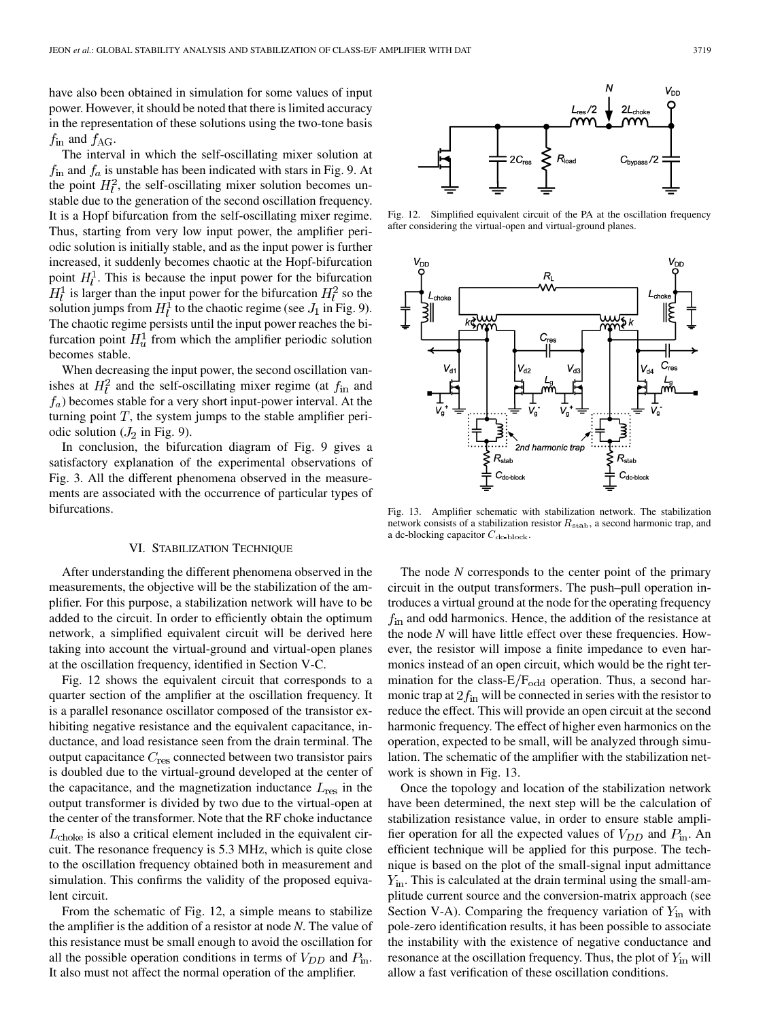have also been obtained in simulation for some values of input power. However, it should be noted that there is limited accuracy in the representation of these solutions using the two-tone basis  $f_{\rm in}$  and  $f_{\rm AG}$ .

The interval in which the self-oscillating mixer solution at  $f_{\text{in}}$  and  $f_a$  is unstable has been indicated with stars in Fig. 9. At the point  $H<sub>1</sub><sup>2</sup>$ , the self-oscillating mixer solution becomes unstable due to the generation of the second oscillation frequency. It is a Hopf bifurcation from the self-oscillating mixer regime. Thus, starting from very low input power, the amplifier periodic solution is initially stable, and as the input power is further increased, it suddenly becomes chaotic at the Hopf-bifurcation point  $H<sub>1</sub><sup>1</sup>$ . This is because the input power for the bifurcation  $H<sub>l</sub><sup>1</sup>$  is larger than the input power for the bifurcation  $H<sub>l</sub><sup>2</sup>$  so the solution jumps from  $H_l^1$  to the chaotic regime (see  $J_1$  in Fig. 9). The chaotic regime persists until the input power reaches the bifurcation point  $H_u^1$  from which the amplifier periodic solution becomes stable.

When decreasing the input power, the second oscillation vanishes at  $H_I^2$  and the self-oscillating mixer regime (at  $f_{\text{in}}$  and  $f_a$ ) becomes stable for a very short input-power interval. At the turning point  $T$ , the system jumps to the stable amplifier periodic solution  $(J_2$  in Fig. 9).

In conclusion, the bifurcation diagram of Fig. 9 gives a satisfactory explanation of the experimental observations of Fig. 3. All the different phenomena observed in the measurements are associated with the occurrence of particular types of bifurcations.

#### VI. STABILIZATION TECHNIQUE

After understanding the different phenomena observed in the measurements, the objective will be the stabilization of the amplifier. For this purpose, a stabilization network will have to be added to the circuit. In order to efficiently obtain the optimum network, a simplified equivalent circuit will be derived here taking into account the virtual-ground and virtual-open planes at the oscillation frequency, identified in Section V-C.

Fig. 12 shows the equivalent circuit that corresponds to a quarter section of the amplifier at the oscillation frequency. It is a parallel resonance oscillator composed of the transistor exhibiting negative resistance and the equivalent capacitance, inductance, and load resistance seen from the drain terminal. The output capacitance  $C_{\text{res}}$  connected between two transistor pairs is doubled due to the virtual-ground developed at the center of the capacitance, and the magnetization inductance  $L_{res}$  in the output transformer is divided by two due to the virtual-open at the center of the transformer. Note that the RF choke inductance  $L_{\rm chose}$  is also a critical element included in the equivalent circuit. The resonance frequency is 5.3 MHz, which is quite close to the oscillation frequency obtained both in measurement and simulation. This confirms the validity of the proposed equivalent circuit.

From the schematic of Fig. 12, a simple means to stabilize the amplifier is the addition of a resistor at node *N*. The value of this resistance must be small enough to avoid the oscillation for all the possible operation conditions in terms of  $V_{DD}$  and  $P_{in}$ . It also must not affect the normal operation of the amplifier.



Fig. 12. Simplified equivalent circuit of the PA at the oscillation frequency after considering the virtual-open and virtual-ground planes.



Fig. 13. Amplifier schematic with stabilization network. The stabilization network consists of a stabilization resistor  $R_{\text{stab}}$ , a second harmonic trap, and a dc-blocking capacitor  $C_{\text{dc-block}}$ .

The node *N* corresponds to the center point of the primary circuit in the output transformers. The push–pull operation introduces a virtual ground at the node for the operating frequency  $f_{\rm in}$  and odd harmonics. Hence, the addition of the resistance at the node *N* will have little effect over these frequencies. However, the resistor will impose a finite impedance to even harmonics instead of an open circuit, which would be the right termination for the class- $E/F_{\text{odd}}$  operation. Thus, a second harmonic trap at  $2f_{in}$  will be connected in series with the resistor to reduce the effect. This will provide an open circuit at the second harmonic frequency. The effect of higher even harmonics on the operation, expected to be small, will be analyzed through simulation. The schematic of the amplifier with the stabilization network is shown in Fig. 13.

Once the topology and location of the stabilization network have been determined, the next step will be the calculation of stabilization resistance value, in order to ensure stable amplifier operation for all the expected values of  $V_{DD}$  and  $P_{\text{in}}$ . An efficient technique will be applied for this purpose. The technique is based on the plot of the small-signal input admittance  $Y_{\text{in}}$ . This is calculated at the drain terminal using the small-amplitude current source and the conversion-matrix approach (see Section V-A). Comparing the frequency variation of  $Y_{\text{in}}$  with pole-zero identification results, it has been possible to associate the instability with the existence of negative conductance and resonance at the oscillation frequency. Thus, the plot of  $Y_{in}$  will allow a fast verification of these oscillation conditions.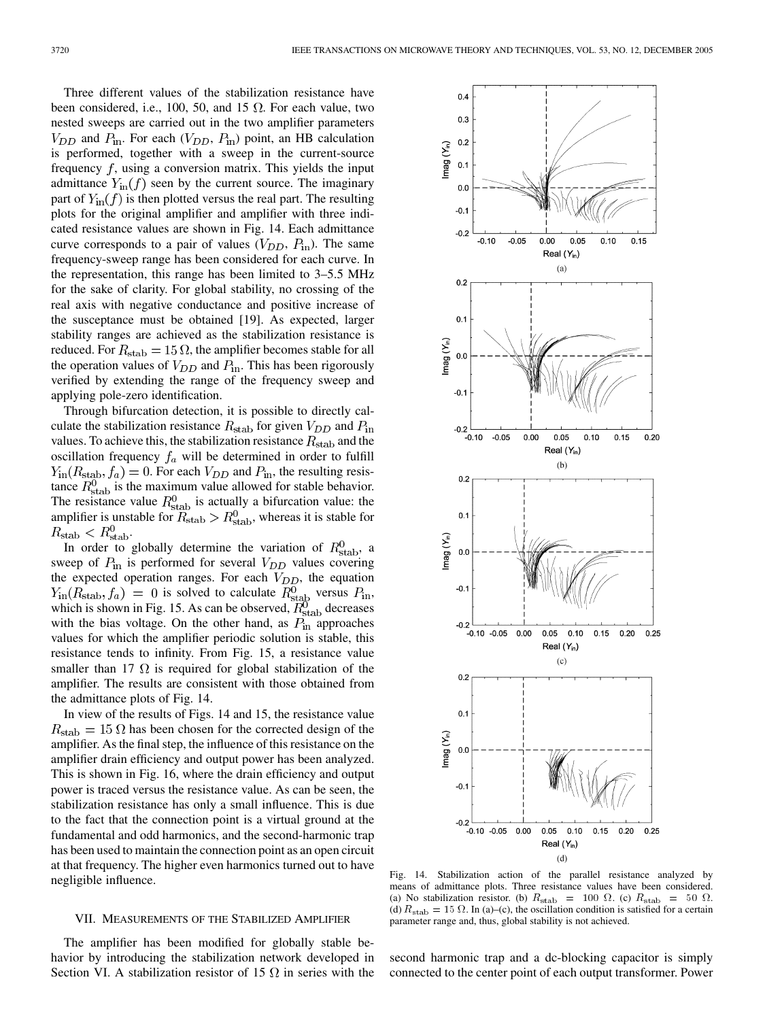Three different values of the stabilization resistance have been considered, i.e., 100, 50, and 15  $\Omega$ . For each value, two nested sweeps are carried out in the two amplifier parameters  $V_{DD}$  and  $P_{\text{in}}$ . For each ( $V_{DD}$ ,  $P_{\text{in}}$ ) point, an HB calculation is performed, together with a sweep in the current-source frequency  $f$ , using a conversion matrix. This yields the input admittance  $Y_{\text{in}}(f)$  seen by the current source. The imaginary part of  $Y_{\text{in}}(f)$  is then plotted versus the real part. The resulting plots for the original amplifier and amplifier with three indicated resistance values are shown in Fig. 14. Each admittance curve corresponds to a pair of values  $(V_{DD}, P_{\text{in}})$ . The same frequency-sweep range has been considered for each curve. In the representation, this range has been limited to 3–5.5 MHz for the sake of clarity. For global stability, no crossing of the real axis with negative conductance and positive increase of the susceptance must be obtained [\[19](#page-10-0)]. As expected, larger stability ranges are achieved as the stabilization resistance is reduced. For  $R_{\rm stab} = 15 \Omega$ , the amplifier becomes stable for all the operation values of  $V_{DD}$  and  $P_{\text{in}}$ . This has been rigorously verified by extending the range of the frequency sweep and applying pole-zero identification.

Through bifurcation detection, it is possible to directly calculate the stabilization resistance  $R_{stab}$  for given  $V_{DD}$  and  $P_{in}$ values. To achieve this, the stabilization resistance  $R_{\text{stab}}$  and the oscillation frequency  $f_a$  will be determined in order to fulfill  $Y_{\text{in}}(R_{\text{stab}}, f_a) = 0$ . For each  $V_{DD}$  and  $P_{\text{in}}$ , the resulting resistance  $R_{\text{stab}}^0$  is the maximum value allowed for stable behavior. The resistance value  $R_{\text{stab}}^0$  is actually a bifurcation value: the amplifier is unstable for  $R_{\rm stab} > R_{\rm stab}^{0}$ , whereas it is stable for  $R_{\rm stab} < R_{\rm stab}^0$ .

In order to globally determine the variation of  $R_{\text{stab}}^0$ , a sweep of  $P_{\text{in}}$  is performed for several  $V_{DD}$  values covering the expected operation ranges. For each  $V_{DD}$ , the equation  $Y_{\text{in}}(R_{\text{stab}}, f_a) = 0$  is solved to calculate  $R_{\text{stab}}^0$  versus  $P_{\text{in}}$ , which is shown in Fig. 15. As can be observed,  $R_{\text{stab}}^0$  decreases with the bias voltage. On the other hand, as  $P_{\text{in}}$  approaches values for which the amplifier periodic solution is stable, this resistance tends to infinity. From Fig. 15, a resistance value smaller than 17  $\Omega$  is required for global stabilization of the amplifier. The results are consistent with those obtained from the admittance plots of Fig. 14.

In view of the results of Figs. 14 and 15, the resistance value  $R_{\text{stab}} = 15 \Omega$  has been chosen for the corrected design of the amplifier. As the final step, the influence of this resistance on the amplifier drain efficiency and output power has been analyzed. This is shown in Fig. 16, where the drain efficiency and output power is traced versus the resistance value. As can be seen, the stabilization resistance has only a small influence. This is due to the fact that the connection point is a virtual ground at the fundamental and odd harmonics, and the second-harmonic trap has been used to maintain the connection point as an open circuit at that frequency. The higher even harmonics turned out to have negligible influence.

# VII. MEASUREMENTS OF THE STABILIZED AMPLIFIER

The amplifier has been modified for globally stable behavior by introducing the stabilization network developed in Section VI. A stabilization resistor of 15  $\Omega$  in series with the



Fig. 14. Stabilization action of the parallel resistance analyzed by means of admittance plots. Three resistance values have been considered. (a) No stabilization resistor. (b)  $R_{\text{stab}} = 100 \Omega$ . (c)  $R_{\text{stab}} = 50 \Omega$ . (d)  $R_{\rm stab} = 15 \Omega$ . In (a)–(c), the oscillation condition is satisfied for a certain parameter range and, thus, global stability is not achieved.

second harmonic trap and a dc-blocking capacitor is simply connected to the center point of each output transformer. Power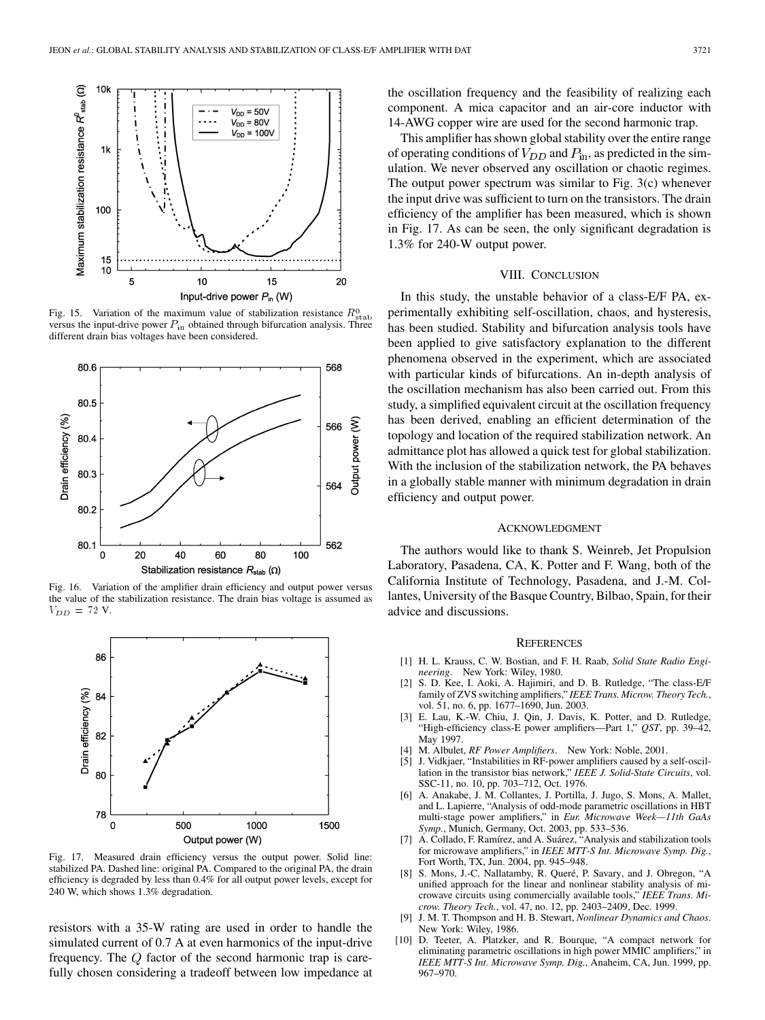<span id="page-9-0"></span>

Fig. 15. Variation of the maximum value of stabilization resistance  $R_{\text{stab}}^0$ versus the input-drive power  $P_{\text{in}}$  obtained through bifurcation analysis. Three different drain bias voltages have been considered.



Fig. 16. Variation of the amplifier drain efficiency and output power versus the value of the stabilization resistance. The drain bias voltage is assumed as  $V_{DD} = 72$  V.



Fig. 17. Measured drain efficiency versus the output power. Solid line: stabilized PA. Dashed line: original PA. Compared to the original PA, the drain efficiency is degraded by less than 0.4% for all output power levels, except for 240 W, which shows 1.3% degradation.

resistors with a 35-W rating are used in order to handle the simulated current of 0.7 A at even harmonics of the input-drive frequency. The  $Q$  factor of the second harmonic trap is carefully chosen considering a tradeoff between low impedance at

the oscillation frequency and the feasibility of realizing each component. A mica capacitor and an air-core inductor with 14-AWG copper wire are used for the second harmonic trap.

This amplifier has shown global stability over the entire range of operating conditions of  $V_{DD}$  and  $P_{\text{in}}$ , as predicted in the simulation. We never observed any oscillation or chaotic regimes. The output power spectrum was similar to Fig. 3(c) whenever the input drive was sufficient to turn on the transistors. The drain efficiency of the amplifier has been measured, which is shown in Fig. 17. As can be seen, the only significant degradation is 1.3% for 240-W output power.

# VIII. CONCLUSION

In this study, the unstable behavior of a class-E/F PA, experimentally exhibiting self-oscillation, chaos, and hysteresis, has been studied. Stability and bifurcation analysis tools have been applied to give satisfactory explanation to the different phenomena observed in the experiment, which are associated with particular kinds of bifurcations. An in-depth analysis of the oscillation mechanism has also been carried out. From this study, a simplified equivalent circuit at the oscillation frequency has been derived, enabling an efficient determination of the topology and location of the required stabilization network. An admittance plot has allowed a quick test for global stabilization. With the inclusion of the stabilization network, the PA behaves in a globally stable manner with minimum degradation in drain efficiency and output power.

# ACKNOWLEDGMENT

The authors would like to thank S. Weinreb, Jet Propulsion Laboratory, Pasadena, CA, K. Potter and F. Wang, both of the California Institute of Technology, Pasadena, and J.-M. Collantes, University of the Basque Country, Bilbao, Spain, for their advice and discussions.

# **REFERENCES**

- [1] H. L. Krauss, C. W. Bostian, and F. H. Raab, *Solid State Radio Engineering*. New York: Wiley, 1980.
- [2] S. D. Kee, I. Aoki, A. Hajimiri, and D. B. Rutledge, "The class-E/F family of ZVS switching amplifiers," *IEEE Trans. Microw. Theory Tech.*, vol. 51, no. 6, pp. 1677–1690, Jun. 2003.
- [3] E. Lau, K.-W. Chiu, J. Qin, J. Davis, K. Potter, and D. Rutledge, "High-efficiency class-E power amplifiers—Part 1," *QST*, pp. 39–42, May 1997.
- [4] M. Albulet, *RF Power Amplifiers*. New York: Noble, 2001.
- [5] J. Vidkjaer, "Instabilities in RF-power amplifiers caused by a self-oscillation in the transistor bias network," *IEEE J. Solid-State Circuits*, vol. SSC-11, no. 10, pp. 703–712, Oct. 1976.
- [6] A. Anakabe, J. M. Collantes, J. Portilla, J. Jugo, S. Mons, A. Mallet, and L. Lapierre, "Analysis of odd-mode parametric oscillations in HBT multi-stage power amplifiers," in *Eur. Microwave Week—11th GaAs Symp.*, Munich, Germany, Oct. 2003, pp. 533–536.
- [7] A. Collado, F. Ramírez, and A. Suárez, "Analysis and stabilization tools for microwave amplifiers," in *IEEE MTT-S Int. Microwave Symp. Dig.*, Fort Worth, TX, Jun. 2004, pp. 945–948.
- [8] S. Mons, J.-C. Nallatamby, R. Queré, P. Savary, and J. Obregon, "A unified approach for the linear and nonlinear stability analysis of microwave circuits using commercially available tools," *IEEE Trans. Microw. Theory Tech.*, vol. 47, no. 12, pp. 2403–2409, Dec. 1999.
- [9] J. M. T. Thompson and H. B. Stewart, *Nonlinear Dynamics and Chaos*. New York: Wiley, 1986.
- [10] D. Teeter, A. Platzker, and R. Bourque, "A compact network for eliminating parametric oscillations in high power MMIC amplifiers," in *IEEE MTT-S Int. Microwave Symp. Dig.*, Anaheim, CA, Jun. 1999, pp. 967–970.